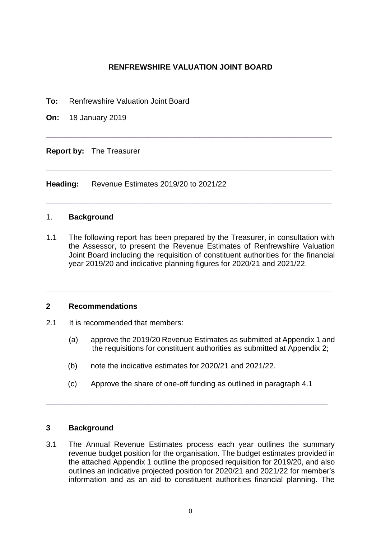# **RENFREWSHIRE VALUATION JOINT BOARD**

**\_\_\_\_\_\_\_\_\_\_\_\_\_\_\_\_\_\_\_\_\_\_\_\_\_\_\_\_\_\_\_\_\_\_\_\_\_\_\_\_\_\_\_\_\_\_\_\_\_\_\_\_\_\_\_\_\_\_\_\_\_\_\_\_\_\_\_**

**\_\_\_\_\_\_\_\_\_\_\_\_\_\_\_\_\_\_\_\_\_\_\_\_\_\_\_\_\_\_\_\_\_\_\_\_\_\_\_\_\_\_\_\_\_\_\_\_\_\_\_\_\_\_\_\_\_\_\_\_\_\_\_\_\_\_\_**

**\_\_\_\_\_\_\_\_\_\_\_\_\_\_\_\_\_\_\_\_\_\_\_\_\_\_\_\_\_\_\_\_\_\_\_\_\_\_\_\_\_\_\_\_\_\_\_\_\_\_\_\_\_\_\_\_\_\_\_\_\_\_\_\_\_\_\_**

- **To:** Renfrewshire Valuation Joint Board
- **On:** 18 January 2019

**Report by:** The Treasurer

**Heading:** Revenue Estimates 2019/20 to 2021/22

### 1. **Background**

1.1 The following report has been prepared by the Treasurer, in consultation with the Assessor, to present the Revenue Estimates of Renfrewshire Valuation Joint Board including the requisition of constituent authorities for the financial year 2019/20 and indicative planning figures for 2020/21 and 2021/22.

**\_\_\_\_\_\_\_\_\_\_\_\_\_\_\_\_\_\_\_\_\_\_\_\_\_\_\_\_\_\_\_\_\_\_\_\_\_\_\_\_\_\_\_\_\_\_\_\_\_\_\_\_\_\_\_\_\_\_\_\_\_\_\_\_\_\_\_**

### **2 Recommendations**

- 2.1 It is recommended that members:
	- (a) approve the 2019/20 Revenue Estimates as submitted at Appendix 1 and the requisitions for constituent authorities as submitted at Appendix 2;
	- (b) note the indicative estimates for 2020/21 and 2021/22.
	- (c) Approve the share of one-off funding as outlined in paragraph 4.1

**\_\_\_\_\_\_\_\_\_\_\_\_\_\_\_\_\_\_\_\_\_\_\_\_\_\_\_\_\_\_\_\_\_\_\_\_\_\_\_\_\_\_\_\_\_\_\_\_\_\_\_\_\_\_\_\_\_\_\_\_\_\_\_\_\_\_**

## **3 Background**

3.1 The Annual Revenue Estimates process each year outlines the summary revenue budget position for the organisation. The budget estimates provided in the attached Appendix 1 outline the proposed requisition for 2019/20, and also outlines an indicative projected position for 2020/21 and 2021/22 for member's information and as an aid to constituent authorities financial planning. The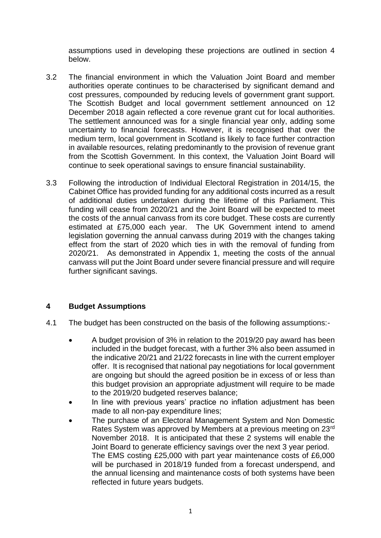assumptions used in developing these projections are outlined in section 4 below.

- 3.2 The financial environment in which the Valuation Joint Board and member authorities operate continues to be characterised by significant demand and cost pressures, compounded by reducing levels of government grant support. The Scottish Budget and local government settlement announced on 12 December 2018 again reflected a core revenue grant cut for local authorities. The settlement announced was for a single financial year only, adding some uncertainty to financial forecasts. However, it is recognised that over the medium term, local government in Scotland is likely to face further contraction in available resources, relating predominantly to the provision of revenue grant from the Scottish Government. In this context, the Valuation Joint Board will continue to seek operational savings to ensure financial sustainability.
- 3.3 Following the introduction of Individual Electoral Registration in 2014/15, the Cabinet Office has provided funding for any additional costs incurred as a result of additional duties undertaken during the lifetime of this Parliament. This funding will cease from 2020/21 and the Joint Board will be expected to meet the costs of the annual canvass from its core budget. These costs are currently estimated at £75,000 each year. The UK Government intend to amend legislation governing the annual canvass during 2019 with the changes taking effect from the start of 2020 which ties in with the removal of funding from 2020/21. As demonstrated in Appendix 1, meeting the costs of the annual canvass will put the Joint Board under severe financial pressure and will require further significant savings.

# **4 Budget Assumptions**

- 4.1 The budget has been constructed on the basis of the following assumptions:-
	- A budget provision of 3% in relation to the 2019/20 pay award has been included in the budget forecast, with a further 3% also been assumed in the indicative 20/21 and 21/22 forecasts in line with the current employer offer. It is recognised that national pay negotiations for local government are ongoing but should the agreed position be in excess of or less than this budget provision an appropriate adjustment will require to be made to the 2019/20 budgeted reserves balance;
	- In line with previous years' practice no inflation adjustment has been made to all non-pay expenditure lines;
	- The purchase of an Electoral Management System and Non Domestic Rates System was approved by Members at a previous meeting on 23rd November 2018. It is anticipated that these 2 systems will enable the Joint Board to generate efficiency savings over the next 3 year period. The EMS costing £25,000 with part year maintenance costs of £6,000 will be purchased in 2018/19 funded from a forecast underspend, and the annual licensing and maintenance costs of both systems have been reflected in future years budgets.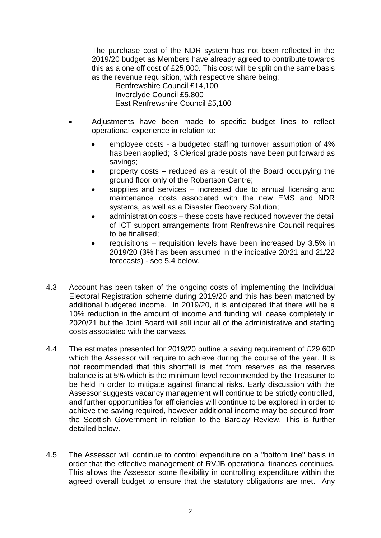The purchase cost of the NDR system has not been reflected in the 2019/20 budget as Members have already agreed to contribute towards this as a one off cost of £25,000. This cost will be split on the same basis as the revenue requisition, with respective share being:

Renfrewshire Council £14,100 Inverclyde Council £5,800 East Renfrewshire Council £5,100

- Adjustments have been made to specific budget lines to reflect operational experience in relation to:
	- employee costs a budgeted staffing turnover assumption of 4% has been applied; 3 Clerical grade posts have been put forward as savings;
	- property costs reduced as a result of the Board occupying the ground floor only of the Robertson Centre;
	- supplies and services increased due to annual licensing and maintenance costs associated with the new EMS and NDR systems, as well as a Disaster Recovery Solution;
	- administration costs these costs have reduced however the detail of ICT support arrangements from Renfrewshire Council requires to be finalised;
	- requisitions requisition levels have been increased by 3.5% in 2019/20 (3% has been assumed in the indicative 20/21 and 21/22 forecasts) - see 5.4 below.
- 4.3 Account has been taken of the ongoing costs of implementing the Individual Electoral Registration scheme during 2019/20 and this has been matched by additional budgeted income. In 2019/20, it is anticipated that there will be a 10% reduction in the amount of income and funding will cease completely in 2020/21 but the Joint Board will still incur all of the administrative and staffing costs associated with the canvass.
- 4.4 The estimates presented for 2019/20 outline a saving requirement of £29,600 which the Assessor will require to achieve during the course of the year. It is not recommended that this shortfall is met from reserves as the reserves balance is at 5% which is the minimum level recommended by the Treasurer to be held in order to mitigate against financial risks. Early discussion with the Assessor suggests vacancy management will continue to be strictly controlled, and further opportunities for efficiencies will continue to be explored in order to achieve the saving required, however additional income may be secured from the Scottish Government in relation to the Barclay Review. This is further detailed below.
- 4.5 The Assessor will continue to control expenditure on a "bottom line" basis in order that the effective management of RVJB operational finances continues. This allows the Assessor some flexibility in controlling expenditure within the agreed overall budget to ensure that the statutory obligations are met. Any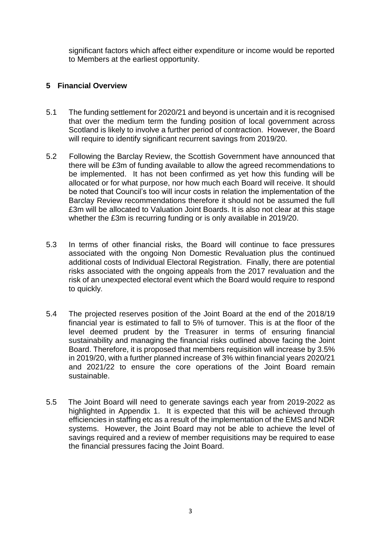significant factors which affect either expenditure or income would be reported to Members at the earliest opportunity.

# **5 Financial Overview**

- 5.1 The funding settlement for 2020/21 and beyond is uncertain and it is recognised that over the medium term the funding position of local government across Scotland is likely to involve a further period of contraction. However, the Board will require to identify significant recurrent savings from 2019/20.
- 5.2 Following the Barclay Review, the Scottish Government have announced that there will be £3m of funding available to allow the agreed recommendations to be implemented. It has not been confirmed as yet how this funding will be allocated or for what purpose, nor how much each Board will receive. It should be noted that Council's too will incur costs in relation the implementation of the Barclay Review recommendations therefore it should not be assumed the full £3m will be allocated to Valuation Joint Boards. It is also not clear at this stage whether the £3m is recurring funding or is only available in 2019/20.
- 5.3 In terms of other financial risks, the Board will continue to face pressures associated with the ongoing Non Domestic Revaluation plus the continued additional costs of Individual Electoral Registration. Finally, there are potential risks associated with the ongoing appeals from the 2017 revaluation and the risk of an unexpected electoral event which the Board would require to respond to quickly.
- 5.4 The projected reserves position of the Joint Board at the end of the 2018/19 financial year is estimated to fall to 5% of turnover. This is at the floor of the level deemed prudent by the Treasurer in terms of ensuring financial sustainability and managing the financial risks outlined above facing the Joint Board. Therefore, it is proposed that members requisition will increase by 3.5% in 2019/20, with a further planned increase of 3% within financial years 2020/21 and 2021/22 to ensure the core operations of the Joint Board remain sustainable.
- 5.5 The Joint Board will need to generate savings each year from 2019-2022 as highlighted in Appendix 1. It is expected that this will be achieved through efficiencies in staffing etc as a result of the implementation of the EMS and NDR systems. However, the Joint Board may not be able to achieve the level of savings required and a review of member requisitions may be required to ease the financial pressures facing the Joint Board.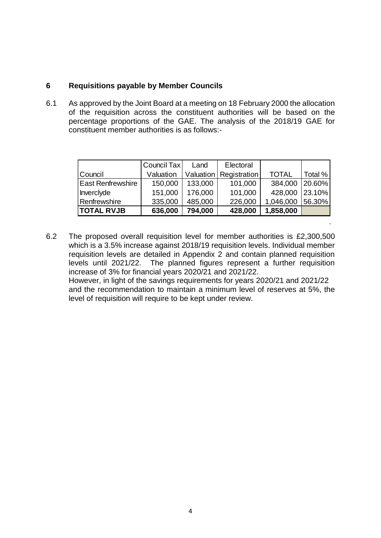## **6 Requisitions payable by Member Councils**

6.1 As approved by the Joint Board at a meeting on 18 February 2000 the allocation of the requisition across the constituent authorities will be based on the percentage proportions of the GAE. The analysis of the 2018/19 GAE for constituent member authorities is as follows:-

|                          | Council Tax | Land      | Electoral    |              |         |
|--------------------------|-------------|-----------|--------------|--------------|---------|
| Council                  | Valuation   | Valuation | Registration | <b>TOTAL</b> | Total % |
| <b>East Renfrewshire</b> | 150,000     | 133,000   | 101,000      | 384,000      | 20.60%  |
| Inverclyde               | 151,000     | 176,000   | 101,000      | 428,000      | 23.10%  |
| Renfrewshire             | 335,000     | 485,000   | 226,000      | 1,046,000    | 56.30%  |
| <b>TOTAL RVJB</b>        | 636,000     | 794,000   | 428,000      | 1,858,000    |         |

6.2 The proposed overall requisition level for member authorities is £2,300,500 which is a 3.5% increase against 2018/19 requisition levels. Individual member requisition levels are detailed in Appendix 2 and contain planned requisition levels until 2021/22. The planned figures represent a further requisition increase of 3% for financial years 2020/21 and 2021/22. However, in light of the savings requirements for years 2020/21 and 2021/22 and the recommendation to maintain a minimum level of reserves at 5%, the level of requisition will require to be kept under review.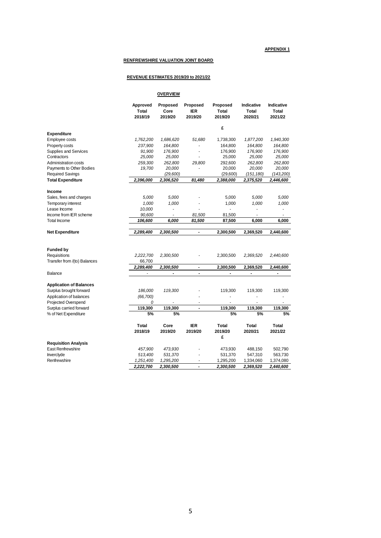#### **APPENDIX 1**

#### **RENFREWSHIRE VALUATION JOINT BOARD**

#### **REVENUE ESTIMATES 2019/20 to 2021/22**

**OVERVIEW**

|                                | Approved<br>Total<br>2018/19 | Proposed<br>Core<br>2019/20 | Proposed<br><b>IER</b><br>2019/20 | Proposed<br><b>Total</b><br>2019/20 | Indicative<br><b>Total</b><br>2020/21 | Indicative<br><b>Total</b><br>2021/22 |
|--------------------------------|------------------------------|-----------------------------|-----------------------------------|-------------------------------------|---------------------------------------|---------------------------------------|
| <b>Expenditure</b>             |                              |                             |                                   | £                                   |                                       |                                       |
| Employee costs                 | 1,762,200                    | 1,686,620                   | 51,680                            | 1,738,300                           | 1,877,200                             | 1,940,300                             |
| Property costs                 | 237,900                      | 164,800                     | $\blacksquare$                    | 164,800                             | 164,800                               | 164,800                               |
| Supplies and Services          | 91,900                       | 176,900                     | $\overline{\phantom{a}}$          | 176,900                             | 176,900                               | 176,900                               |
| Contractors                    | 25,000                       | 25,000                      |                                   | 25,000                              | 25,000                                | 25,000                                |
| Administration costs           | 259,300                      | 262,800                     | 29,800                            | 292,600                             | 262,800                               | 262,800                               |
| Payments to Other Bodies       | 19,700                       | 20,000                      |                                   | 20,000                              | 20,000                                | 20,000                                |
| <b>Required Savings</b>        |                              | (29,600)                    |                                   | (29,600)                            | (151, 180)                            | (143,200)                             |
| <b>Total Expenditure</b>       | 2,396,000                    | 2,306,520                   | 81,480                            | 2,388,000                           | 2,375,520                             | 2,446,600                             |
|                                |                              |                             |                                   |                                     |                                       |                                       |
| Income                         |                              |                             |                                   |                                     |                                       |                                       |
| Sales, fees and charges        | 5,000                        | 5,000                       |                                   | 5,000                               | 5,000                                 | 5,000                                 |
| Temporary interest             | 1,000                        | 1,000                       |                                   | 1,000                               | 1,000                                 | 1,000                                 |
| Lease Income                   | 10,000                       | ٠                           |                                   |                                     |                                       |                                       |
| Income from IER scheme         | 90,600                       |                             | 81,500                            | 81,500                              |                                       |                                       |
| Total Income                   | 106,600                      | 6,000                       | 81,500                            | 87,500                              | 6,000                                 | 6,000                                 |
| Net Expenditure                | 2,289,400                    | 2,300,500                   | $\overline{a}$                    | 2,300,500                           | 2,369,520                             | 2,440,600                             |
|                                |                              |                             |                                   |                                     |                                       |                                       |
| <b>Funded by</b>               |                              |                             |                                   |                                     |                                       |                                       |
| Requisitions                   | 2,222,700                    | 2,300,500                   |                                   | 2,300,500                           | 2,369,520                             | 2,440,600                             |
| Transfer from /(to) Balances   | 66,700<br>2,289,400          |                             |                                   | 2,300,500                           |                                       | 2,440,600                             |
| Balance                        | ä,                           | 2,300,500<br>Ĭ.             | $\blacksquare$<br>L.              | Ĭ.                                  | 2,369,520<br>÷.                       | $\overline{a}$                        |
|                                |                              |                             |                                   |                                     |                                       |                                       |
| <b>Application of Balances</b> |                              |                             |                                   |                                     |                                       |                                       |
| Surplus brought forward        | 186,000                      | 119,300                     |                                   | 119,300                             | 119,300                               | 119,300                               |
| Application of balances        | (66, 700)                    |                             |                                   |                                     |                                       |                                       |
| <b>Projected Overspend</b>     | 0                            |                             | ÷,                                |                                     |                                       |                                       |
| Surplus carried forward        | 119,300                      | 119,300                     | ä,                                | 119,300                             | 119,300                               | 119,300                               |
| % of Net Expenditure           | 5%                           | 5%                          |                                   | 5%                                  | 5%                                    | 5%                                    |
|                                | Total                        | Core                        | <b>IER</b>                        | <b>Total</b>                        | <b>Total</b>                          | Total                                 |
|                                | 2018/19                      | 2019/20                     | 2019/20                           | 2019/20                             | 2020/21                               | 2021/22                               |
|                                |                              |                             |                                   | £                                   |                                       |                                       |
| <b>Requisition Analysis</b>    |                              |                             |                                   |                                     |                                       |                                       |
| East Renfrewshire              | 457,900                      | 473,930                     |                                   | 473,930                             | 488,150                               | 502,790                               |
| Inverclyde                     | 513,400                      | 531,370                     |                                   | 531,370                             | 547,310                               | 563,730                               |
| Renfrewshire                   | 1,251,400                    | 1,295,200                   | $\blacksquare$                    | 1,295,200                           | 1,334,060                             | 1,374,080                             |
|                                | 2,222,700                    | 2,300,500                   | $\overline{\phantom{0}}$          | 2,300,500                           | 2,369,520                             | 2,440,600                             |